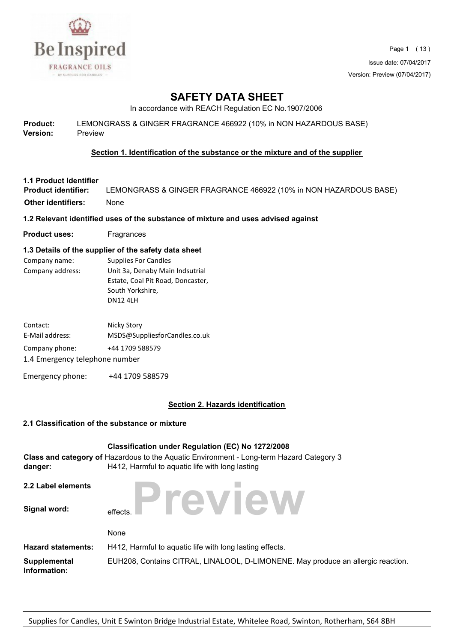

Page 1 ( 13 ) Issue date: 07/04/2017 Version: Preview (07/04/2017)

## **SAFETY DATA SHEET**

In accordance with REACH Regulation EC No.1907/2006

| <b>Product:</b> | LEMONGRASS & GINGER FRAGRANCE 466922 (10% in NON HAZARDOUS BASE) |
|-----------------|------------------------------------------------------------------|
| <b>Version:</b> | Preview                                                          |

#### **Section 1. Identification of the substance or the mixture and of the supplier**

## **1.1 Product Identifier**

LEMONGRASS & GINGER FRAGRANCE 466922 (10% in NON HAZARDOUS BASE) **Other identifiers:** None

#### **1.2 Relevant identified uses of the substance of mixture and uses advised against**

**Product uses:** Fragrances

#### **1.3 Details of the supplier of the safety data sheet**

| Company name:    | <b>Supplies For Candles</b>       |
|------------------|-----------------------------------|
| Company address: | Unit 3a, Denaby Main Indsutrial   |
|                  | Estate, Coal Pit Road, Doncaster, |
|                  | South Yorkshire,                  |
|                  | DN12 41 H                         |

| Contact:                       | Nicky Story                   |  |  |  |
|--------------------------------|-------------------------------|--|--|--|
| E-Mail address:                | MSDS@SuppliesforCandles.co.uk |  |  |  |
| Company phone:                 | +44 1709 588579               |  |  |  |
| 1.4 Emergency telephone number |                               |  |  |  |

Emergency phone: +44 1709 588579

#### **Section 2. Hazards identification**

#### **2.1 Classification of the substance or mixture**

| danger:                      | <b>Classification under Regulation (EC) No 1272/2008</b><br>Class and category of Hazardous to the Aquatic Environment - Long-term Hazard Category 3<br>H412, Harmful to aquatic life with long lasting |
|------------------------------|---------------------------------------------------------------------------------------------------------------------------------------------------------------------------------------------------------|
| 2.2 Label elements           |                                                                                                                                                                                                         |
| Signal word:                 | Preview<br>effects.                                                                                                                                                                                     |
|                              | None                                                                                                                                                                                                    |
| <b>Hazard statements:</b>    | H412, Harmful to aquatic life with long lasting effects.                                                                                                                                                |
| Supplemental<br>Information: | EUH208, Contains CITRAL, LINALOOL, D-LIMONENE. May produce an allergic reaction.                                                                                                                        |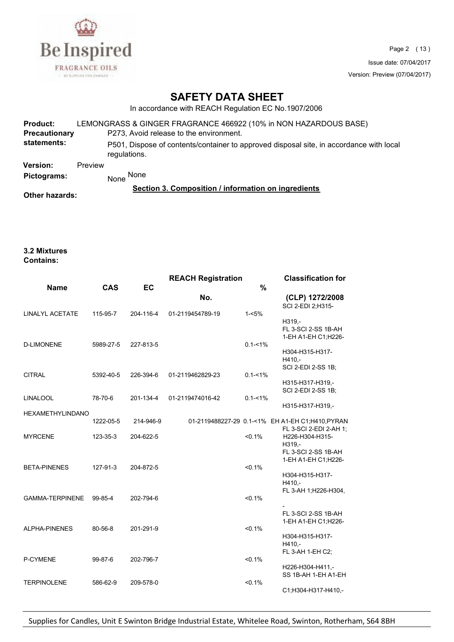

Page 2 ( 13 ) Issue date: 07/04/2017 Version: Preview (07/04/2017)

## **SAFETY DATA SHEET**

In accordance with REACH Regulation EC No.1907/2006

| Product:<br><b>Precautionary</b><br>statements: |         | LEMONGRASS & GINGER FRAGRANCE 466922 (10% in NON HAZARDOUS BASE)<br>P273, Avoid release to the environment.<br>P501, Dispose of contents/container to approved disposal site, in accordance with local |
|-------------------------------------------------|---------|--------------------------------------------------------------------------------------------------------------------------------------------------------------------------------------------------------|
|                                                 |         | regulations.                                                                                                                                                                                           |
| <b>Version:</b>                                 | Preview |                                                                                                                                                                                                        |
| Pictograms:                                     |         | None<br>None                                                                                                                                                                                           |
| Other hazards:                                  |         | Section 3. Composition / information on ingredients                                                                                                                                                    |

#### **3.2 Mixtures Contains:**

|                         |            |           | <b>REACH Registration</b> |             | <b>Classification for</b>                                                         |
|-------------------------|------------|-----------|---------------------------|-------------|-----------------------------------------------------------------------------------|
| <b>Name</b>             | <b>CAS</b> | EC        |                           | %           |                                                                                   |
|                         |            |           | No.                       |             | (CLP) 1272/2008<br>SCI 2-EDI 2:H315-                                              |
| LINALYL ACETATE         | 115-95-7   | 204-116-4 | 01-2119454789-19          | $1 - 5%$    | H319,-<br>FL 3-SCI 2-SS 1B-AH<br>1-EH A1-EH C1;H226-                              |
| <b>D-LIMONENE</b>       | 5989-27-5  | 227-813-5 |                           | $0.1 - 1\%$ | H304-H315-H317-<br>$H410 -$<br>SCI 2-EDI 2-SS 1B;                                 |
| <b>CITRAL</b>           | 5392-40-5  | 226-394-6 | 01-2119462829-23          | $0.1 - 1\%$ | H315-H317-H319,-<br>SCI 2-EDI 2-SS 1B;                                            |
| <b>LINALOOL</b>         | 78-70-6    | 201-134-4 | 01-2119474016-42          | $0.1 - 1\%$ | H315-H317-H319,-                                                                  |
| <b>HEXAMETHYLINDANO</b> | 1222-05-5  | 214-946-9 |                           |             | 01-2119488227-29 0.1-<1% EH A1-EH C1;H410,PYRAN                                   |
| <b>MYRCENE</b>          | 123-35-3   | 204-622-5 |                           | $< 0.1\%$   | FL 3-SCI 2-EDI 2-AH 1:<br>H226-H304-H315-<br>H319,-<br><b>FL 3-SCI 2-SS 1B-AH</b> |
| <b>BETA-PINENES</b>     | 127-91-3   | 204-872-5 |                           | $< 0.1\%$   | 1-EH A1-EH C1;H226-<br>H304-H315-H317-<br>H410.-                                  |
| <b>GAMMA-TERPINENE</b>  | 99-85-4    | 202-794-6 |                           | $< 0.1\%$   | FL 3-AH 1; H226-H304,                                                             |
| <b>ALPHA-PINENES</b>    | 80-56-8    | 201-291-9 |                           | $< 0.1\%$   | FL 3-SCI 2-SS 1B-AH<br>1-EH A1-EH C1: H226-                                       |
|                         |            |           |                           |             | H304-H315-H317-<br>$H410 -$<br>FL 3-AH 1-EH C2;                                   |
| P-CYMENE                | 99-87-6    | 202-796-7 |                           | $< 0.1\%$   | H226-H304-H411,-<br>SS 1B-AH 1-EH A1-EH                                           |
| <b>TERPINOLENE</b>      | 586-62-9   | 209-578-0 |                           | $< 0.1\%$   | C1;H304-H317-H410,-                                                               |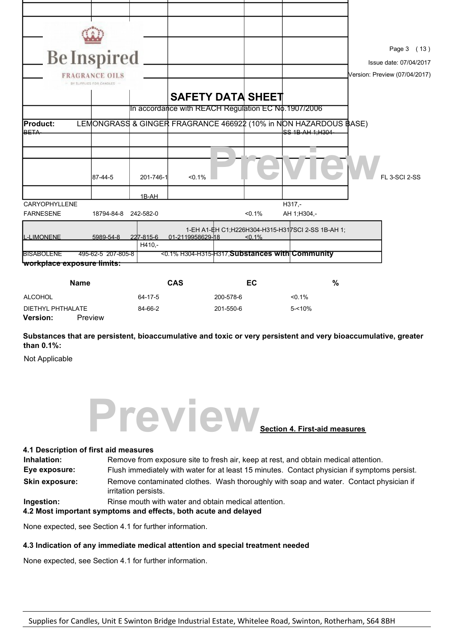|                                          | <b>Be Inspired</b><br><b>FRAGRANCE OILS</b><br>BY SUPPLIES FOR CANDLES |                     |                                                     |           |           |                                                                                          | Page 3 (13)<br>Issue date: 07/04/2017<br>Version: Preview (07/04/2017) |
|------------------------------------------|------------------------------------------------------------------------|---------------------|-----------------------------------------------------|-----------|-----------|------------------------------------------------------------------------------------------|------------------------------------------------------------------------|
|                                          |                                                                        |                     | <b>SAFETY DATA SHEET</b>                            |           |           |                                                                                          |                                                                        |
|                                          |                                                                        |                     | In accordance with REACH Regulation EC No.1907/2006 |           |           |                                                                                          |                                                                        |
| <b>Product:</b><br><b>IBETA</b>          |                                                                        |                     |                                                     |           |           | LEMONGRASS & GINGER FRAGRANCE 466922 (10% in NON HAZARDOUS BASE)<br>$CC$ 1R $AL1$ $H304$ |                                                                        |
|                                          | 87-44-5                                                                | 201-746-1           | $< 0.1\%$                                           |           |           |                                                                                          | <b>FL 3-SCI 2-SS</b>                                                   |
|                                          |                                                                        | 1B-AH               |                                                     |           |           |                                                                                          |                                                                        |
| <b>CARYOPHYLLENE</b><br><b>FARNESENE</b> | 18794-84-8 242-582-0                                                   |                     |                                                     |           | < 0.1%    | H317,-<br>AH 1; H304,-                                                                   |                                                                        |
| <b>L-LIMONENE</b>                        | 5989-54-8                                                              | 227-815-6<br>H410.- | 01-2119958629-18                                    |           | $< 0.1\%$ | 1-EH A1-EH C1: H226H304-H315-H31 7SCI 2-SS 1B-AH 1:                                      |                                                                        |
| <b>BISABOLENE</b>                        | 495-62-5 207-805-8                                                     |                     |                                                     |           |           | <0.1% H304-H315-H317 Substances with Community                                           |                                                                        |
|                                          | workplace exposure limits:                                             |                     |                                                     |           |           |                                                                                          |                                                                        |
|                                          | <b>Name</b>                                                            |                     | <b>CAS</b>                                          |           | EC        | %                                                                                        |                                                                        |
| <b>ALCOHOL</b>                           |                                                                        | 64-17-5             |                                                     | 200-578-6 |           | $< 0.1\%$                                                                                |                                                                        |

**Substances that are persistent, bioaccumulative and toxic or very persistent and very bioaccumulative, greater than 0.1%:**

Not Applicable

**Version:** Preview



#### **4.1 Description of first aid measures**

| Inhalation:           | Remove from exposure site to fresh air, keep at rest, and obtain medical attention.                            |  |  |
|-----------------------|----------------------------------------------------------------------------------------------------------------|--|--|
| Eye exposure:         | Flush immediately with water for at least 15 minutes. Contact physician if symptoms persist.                   |  |  |
| <b>Skin exposure:</b> | Remove contaminated clothes. Wash thoroughly with soap and water. Contact physician if<br>irritation persists. |  |  |
| Ingestion:            | Rinse mouth with water and obtain medical attention.                                                           |  |  |

**4.2 Most important symptoms and effects, both acute and delayed** 

None expected, see Section 4.1 for further information.

#### **4.3 Indication of any immediate medical attention and special treatment needed**

DIETHYL PHTHALATE 84-66-2 201-550-6 5-<10%

None expected, see Section 4.1 for further information.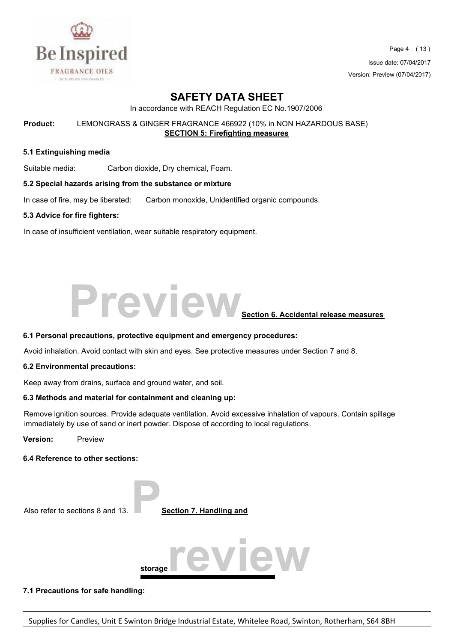

Page 4 ( 13 ) Issue date: 07/04/2017 Version: Preview (07/04/2017)

## **SAFETY DATA SHEET**

In accordance with REACH Regulation EC No.1907/2006

**Product:** LEMONGRASS & GINGER FRAGRANCE 466922 (10% in NON HAZARDOUS BASE) **SECTION 5: Firefighting measures** 

#### **5.1 Extinguishing media**

Suitable media: Carbon dioxide, Dry chemical, Foam.

#### **5.2 Special hazards arising from the substance or mixture**

In case of fire, may be liberated: Carbon monoxide, Unidentified organic compounds.

#### **5.3 Advice for fire fighters:**

In case of insufficient ventilation, wear suitable respiratory equipment.

# **Preview**<br>Section 6. Accidental release measures

#### **6.1 Personal precautions, protective equipment and emergency procedures:**

Avoid inhalation. Avoid contact with skin and eyes. See protective measures under Section 7 and 8.

#### **6.2 Environmental precautions:**

Keep away from drains, surface and ground water, and soil.

#### **6.3 Methods and material for containment and cleaning up:**

Remove ignition sources. Provide adequate ventilation. Avoid excessive inhalation of vapours. Contain spillage immediately by use of sand or inert powder. Dispose of according to local regulations.

**Version:** Preview

#### **6.4 Reference to other sections:**



#### **7.1 Precautions for safe handling:**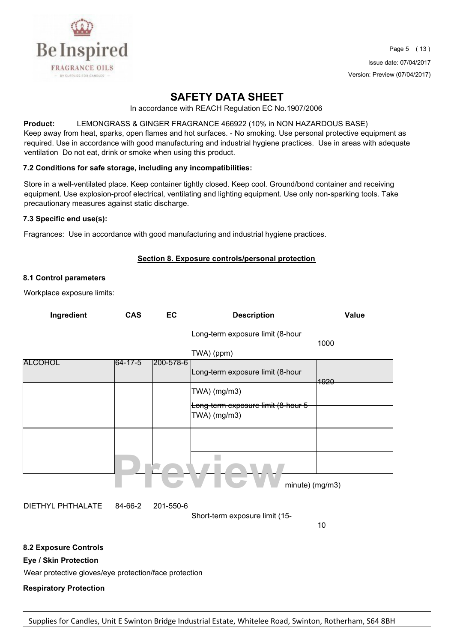

## **SAFETY DATA SHEET**

In accordance with REACH Regulation EC No.1907/2006

**Product:** LEMONGRASS & GINGER FRAGRANCE 466922 (10% in NON HAZARDOUS BASE) Keep away from heat, sparks, open flames and hot surfaces. - No smoking. Use personal protective equipment as required. Use in accordance with good manufacturing and industrial hygiene practices. Use in areas with adequate

#### **7.2 Conditions for safe storage, including any incompatibilities:**

ventilation Do not eat, drink or smoke when using this product.

Store in a well-ventilated place. Keep container tightly closed. Keep cool. Ground/bond container and receiving equipment. Use explosion-proof electrical, ventilating and lighting equipment. Use only non-sparking tools. Take precautionary measures against static discharge.

#### **7.3 Specific end use(s):**

Fragrances: Use in accordance with good manufacturing and industrial hygiene practices.

#### **Section 8. Exposure controls/personal protection**

#### **8.1 Control parameters**

Workplace exposure limits:

| Ingredient | <b>CAS</b> | EC                | <b>Description</b>                                 | Value |
|------------|------------|-------------------|----------------------------------------------------|-------|
|            |            |                   | Long-term exposure limit (8-hour                   | 1000  |
|            |            |                   | TWA) (ppm)                                         |       |
| ALCOHOL    | 64-17-5    | $ 200 - 578 - 6 $ | Long-term exposure limit (8-hour                   | 4920  |
|            |            |                   | TWA) (mg/m3)<br>Long-term exposure limit (8-hour 5 |       |
|            |            |                   | TWA) (mg/m3)                                       |       |
|            |            |                   |                                                    |       |
|            |            |                   |                                                    |       |
|            |            |                   | minute) (mg/m3)                                    |       |

DIETHYL PHTHALATE 84-66-2 201-550-6

Short-term exposure limit (15-

10

#### **8.2 Exposure Controls**

**Eye / Skin Protection**

Wear protective gloves/eye protection/face protection

**Respiratory Protection**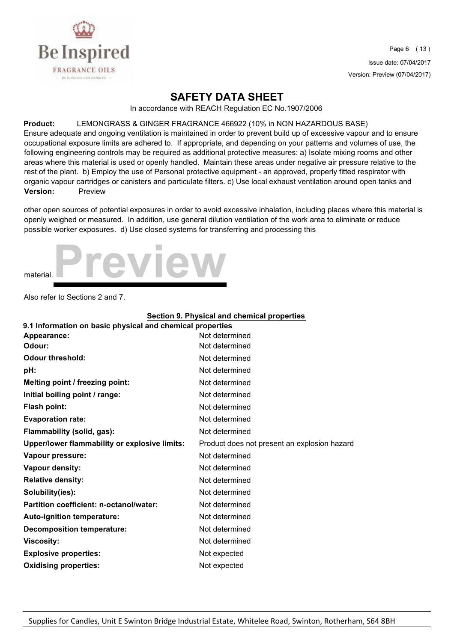

### **SAFETY DATA SHEET**

In accordance with REACH Regulation EC No.1907/2006

#### **Product:** LEMONGRASS & GINGER FRAGRANCE 466922 (10% in NON HAZARDOUS BASE)

Ensure adequate and ongoing ventilation is maintained in order to prevent build up of excessive vapour and to ensure occupational exposure limits are adhered to. If appropriate, and depending on your patterns and volumes of use, the following engineering controls may be required as additional protective measures: a) Isolate mixing rooms and other areas where this material is used or openly handled. Maintain these areas under negative air pressure relative to the rest of the plant. b) Employ the use of Personal protective equipment - an approved, properly fitted respirator with organic vapour cartridges or canisters and particulate filters. c) Use local exhaust ventilation around open tanks and **Version:** Preview

other open sources of potential exposures in order to avoid excessive inhalation, including places where this material is openly weighed or measured. In addition, use general dilution ventilation of the work area to eliminate or reduce possible worker exposures. d) Use closed systems for transferring and processing this



Also refer to Sections 2 and 7.

|                                                           | <b>Section 9. Physical and chemical properties</b> |  |  |  |
|-----------------------------------------------------------|----------------------------------------------------|--|--|--|
| 9.1 Information on basic physical and chemical properties |                                                    |  |  |  |
| Appearance:                                               | Not determined                                     |  |  |  |
| Odour:                                                    | Not determined                                     |  |  |  |
| <b>Odour threshold:</b>                                   | Not determined                                     |  |  |  |
| pH:                                                       | Not determined                                     |  |  |  |
| Melting point / freezing point:                           | Not determined                                     |  |  |  |
| Initial boiling point / range:                            | Not determined                                     |  |  |  |
| <b>Flash point:</b>                                       | Not determined                                     |  |  |  |
| <b>Evaporation rate:</b>                                  | Not determined                                     |  |  |  |
| Flammability (solid, gas):                                | Not determined                                     |  |  |  |
| <b>Upper/lower flammability or explosive limits:</b>      | Product does not present an explosion hazard       |  |  |  |
| Vapour pressure:                                          | Not determined                                     |  |  |  |
| <b>Vapour density:</b>                                    | Not determined                                     |  |  |  |
| <b>Relative density:</b>                                  | Not determined                                     |  |  |  |
| Solubility(ies):                                          | Not determined                                     |  |  |  |
| Partition coefficient: n-octanol/water:                   | Not determined                                     |  |  |  |
| Auto-ignition temperature:                                | Not determined                                     |  |  |  |
| <b>Decomposition temperature:</b>                         | Not determined                                     |  |  |  |
| <b>Viscosity:</b>                                         | Not determined                                     |  |  |  |
| <b>Explosive properties:</b>                              | Not expected                                       |  |  |  |
| <b>Oxidising properties:</b>                              | Not expected                                       |  |  |  |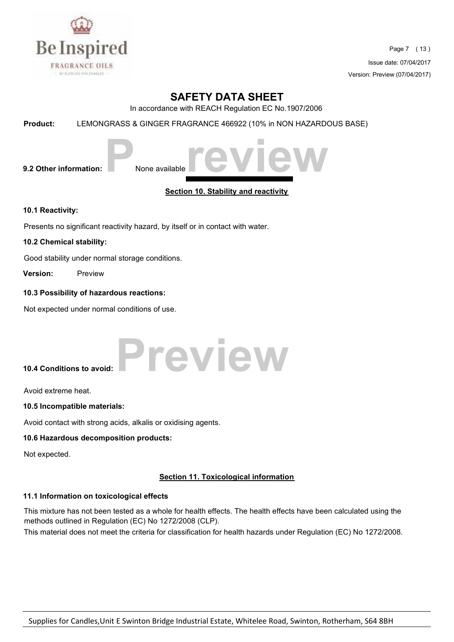

Page 7 ( 13 ) Issue date: 07/04/2017 Version: Preview (07/04/2017)

## **SAFETY DATA SHEET**

In accordance with REACH Regulation EC No.1907/2006

**Product:** LEMONGRASS & GINGER FRAGRANCE 466922 (10% in NON HAZARDOUS BASE)



**Section 10. Stability and reactivity** 

**10.1 Reactivity:**

Presents no significant reactivity hazard, by itself or in contact with water.

#### **10.2 Chemical stability:**

Good stability under normal storage conditions.

**Version:** Preview

#### **10.3 Possibility of hazardous reactions:**

Not expected under normal conditions of use.

**10.4 Conditions to avoid: Preview** 

Avoid extreme heat.

#### **10.5 Incompatible materials:**

Avoid contact with strong acids, alkalis or oxidising agents.

#### **10.6 Hazardous decomposition products:**

Not expected.

#### **Section 11. Toxicological information**

#### **11.1 Information on toxicological effects**

This mixture has not been tested as a whole for health effects. The health effects have been calculated using the methods outlined in Regulation (EC) No 1272/2008 (CLP).

This material does not meet the criteria for classification for health hazards under Regulation (EC) No 1272/2008.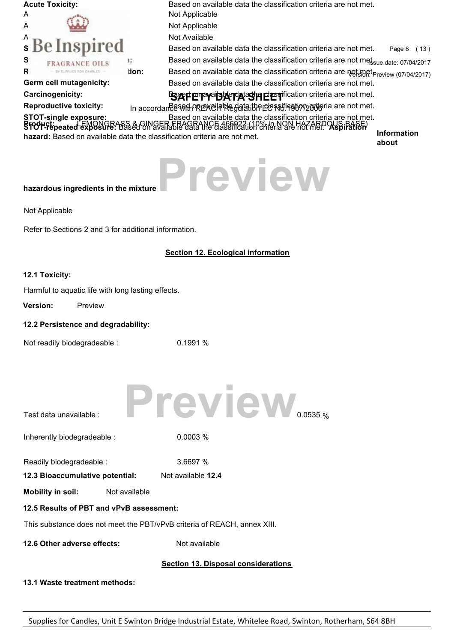| <b>Acute Toxicity:</b>                                                   |       | Based on available data the classification criteria are not met.                                                                                                                                                                   |                    |
|--------------------------------------------------------------------------|-------|------------------------------------------------------------------------------------------------------------------------------------------------------------------------------------------------------------------------------------|--------------------|
| A                                                                        |       | Not Applicable                                                                                                                                                                                                                     |                    |
|                                                                          |       | Not Applicable                                                                                                                                                                                                                     |                    |
| A<br>S                                                                   |       | Not Available                                                                                                                                                                                                                      |                    |
| <b>Be Inspired</b>                                                       |       | Based on available data the classification criteria are not met.                                                                                                                                                                   | Page 8 (13)        |
| S<br>RAGRANCE OILS                                                       | Ŧ.    | Based on available data the classification criteria are not metssue date: 07/04/2017                                                                                                                                               |                    |
| R<br>BY SUPPLIES FOR CANDLES                                             | tion: | Based on available data the classification criteria are not met Preview (07/04/2017)                                                                                                                                               |                    |
| Germ cell mutagenicity:                                                  |       | Based on available data the classification criteria are not met.                                                                                                                                                                   |                    |
| Carcinogenicity:                                                         |       | <b>SEXT ETTY TO AFT A COLLECT FOR THE EXT</b> fication criteria are not met.                                                                                                                                                       |                    |
| <b>Reproductive toxicity:</b>                                            |       | In accordane esten or excilate data the elessification project are not met.                                                                                                                                                        |                    |
|                                                                          |       | STOT-single exposure: Eased on available data the classification criteria are not met.<br>SfO++Fepeated exposure: Based on available data the classification Priteria alternation of the Stock and a se<br>SfO++Fepeated exposure: |                    |
| hazard: Based on available data the classification criteria are not met. |       |                                                                                                                                                                                                                                    | <b>Information</b> |
|                                                                          |       |                                                                                                                                                                                                                                    | about              |
| hazardous ingredients in the mixture                                     |       | Preview                                                                                                                                                                                                                            |                    |
| Not Applicable                                                           |       |                                                                                                                                                                                                                                    |                    |
| Refer to Sections 2 and 3 for additional information.                    |       |                                                                                                                                                                                                                                    |                    |
|                                                                          |       | <b>Section 12. Ecological information</b>                                                                                                                                                                                          |                    |
| 12.1 Toxicity:                                                           |       |                                                                                                                                                                                                                                    |                    |
| Harmful to aquatic life with long lasting effects.                       |       |                                                                                                                                                                                                                                    |                    |
| <b>Version:</b><br>Preview                                               |       |                                                                                                                                                                                                                                    |                    |
| 12.2 Persistence and degradability:                                      |       |                                                                                                                                                                                                                                    |                    |
| Not readily biodegradeable :                                             |       | 0.1991%                                                                                                                                                                                                                            |                    |
| Test data unavailable :                                                  |       | Preview                                                                                                                                                                                                                            |                    |
| Inherently biodegradeable :                                              |       | 0.0003 %                                                                                                                                                                                                                           |                    |
| Readily biodegradeable :                                                 |       | 3.6697 %                                                                                                                                                                                                                           |                    |
| 12.3 Bioaccumulative potential:                                          |       | Not available 12.4                                                                                                                                                                                                                 |                    |
| <b>Mobility in soil:</b><br>Not available                                |       |                                                                                                                                                                                                                                    |                    |
| 12.5 Results of PBT and vPvB assessment:                                 |       |                                                                                                                                                                                                                                    |                    |
|                                                                          |       | This substance does not meet the PBT/vPvB criteria of REACH, annex XIII.                                                                                                                                                           |                    |
| 12.6 Other adverse effects:                                              |       | Not available                                                                                                                                                                                                                      |                    |
|                                                                          |       | <b>Section 13. Disposal considerations</b>                                                                                                                                                                                         |                    |

**13.1 Waste treatment methods:**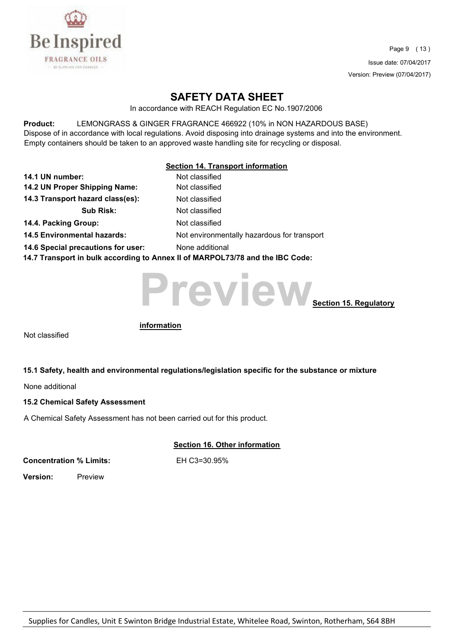

Page 9 ( 13 ) Issue date: 07/04/2017 Version: Preview (07/04/2017)

## **SAFETY DATA SHEET**

In accordance with REACH Regulation EC No.1907/2006

**Product:** LEMONGRASS & GINGER FRAGRANCE 466922 (10% in NON HAZARDOUS BASE) Dispose of in accordance with local regulations. Avoid disposing into drainage systems and into the environment. Empty containers should be taken to an approved waste handling site for recycling or disposal.

#### **Section 14. Transport information**

| 14.1 UN number:                    | Not classified                                                               |
|------------------------------------|------------------------------------------------------------------------------|
| 14.2 UN Proper Shipping Name:      | Not classified                                                               |
| 14.3 Transport hazard class(es):   | Not classified                                                               |
| <b>Sub Risk:</b>                   | Not classified                                                               |
| 14.4. Packing Group:               | Not classified                                                               |
| <b>14.5 Environmental hazards:</b> | Not environmentally hazardous for transport                                  |
| 14.6 Special precautions for user: | None additional                                                              |
|                                    | 117 Tushanawi in bulkaasayding ta Annay II of MADDOL 79/70 and the IDC Cader |

**14.7 Transport in bulk according to Annex II of MARPOL73/78 and the IBC Code:** 



Not classified

**information**

#### **15.1 Safety, health and environmental regulations/legislation specific for the substance or mixture**

None additional

#### **15.2 Chemical Safety Assessment**

A Chemical Safety Assessment has not been carried out for this product.

#### **Section 16. Other information**

**Concentration % Limits:** EH C3=30.95%

**Version:** Preview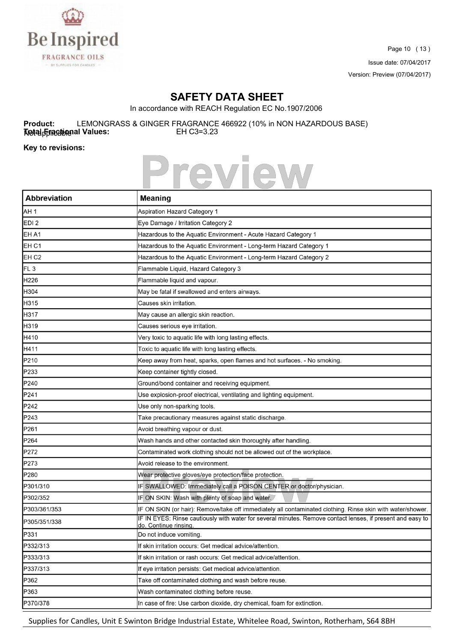

Page 10 ( 13 ) Issue date: 07/04/2017 Version: Preview (07/04/2017)

٦

## **SAFETY DATA SHEET**

In accordance with REACH Regulation EC No.1907/2006

**Product:** LEMONGRASS & GINGER FRAGRANCE 466922 (10% in NON HAZARDOUS BASE)<br> **Netal Frances:** EH C3=3.23 Notal Finactional Values:

Key to revisions:

 $\overline{\phantom{a}}$ 



| <b>Abbreviation</b> | <b>Meaning</b>                                                                                                                      |
|---------------------|-------------------------------------------------------------------------------------------------------------------------------------|
| AH <sub>1</sub>     | Aspiration Hazard Category 1                                                                                                        |
| EDI <sub>2</sub>    | Eye Damage / Irritation Category 2                                                                                                  |
| EH A1               | Hazardous to the Aquatic Environment - Acute Hazard Category 1                                                                      |
| EH <sub>C1</sub>    | Hazardous to the Aquatic Environment - Long-term Hazard Category 1                                                                  |
| EH <sub>C2</sub>    | Hazardous to the Aquatic Environment - Long-term Hazard Category 2                                                                  |
| FL <sub>3</sub>     | Flammable Liquid, Hazard Category 3                                                                                                 |
| H226                | Flammable liquid and vapour.                                                                                                        |
| H304                | May be fatal if swallowed and enters airways.                                                                                       |
| H315                | Causes skin irritation.                                                                                                             |
| H317                | May cause an allergic skin reaction.                                                                                                |
| H319                | Causes serious eye irritation.                                                                                                      |
| H410                | Very toxic to aquatic life with long lasting effects.                                                                               |
| H411                | Toxic to aquatic life with long lasting effects.                                                                                    |
| P210                | Keep away from heat, sparks, open flames and hot surfaces. - No smoking.                                                            |
| P233                | Keep container tightly closed.                                                                                                      |
| P240                | Ground/bond container and receiving equipment.                                                                                      |
| P241                | Use explosion-proof electrical, ventilating and lighting equipment.                                                                 |
| P242                | Use only non-sparking tools.                                                                                                        |
| P243                | Take precautionary measures against static discharge.                                                                               |
| P261                | Avoid breathing vapour or dust.                                                                                                     |
| P264                | Wash hands and other contacted skin thoroughly after handling.                                                                      |
| P272                | Contaminated work clothing should not be allowed out of the workplace.                                                              |
| P273                | Avoid release to the environment.                                                                                                   |
| P280                | Wear protective gloves/eye protection/face protection.                                                                              |
| P301/310            | IF SWALLOWED: Immediately call a POISON CENTER or doctor/physician.                                                                 |
| P302/352            | IF ON SKIN: Wash with plenty of soap and water.                                                                                     |
| P303/361/353        | IF ON SKIN (or hair): Remove/take off immediately all contaminated clothing. Rinse skin with water/shower.                          |
| P305/351/338        | IF IN EYES: Rinse cautiously with water for several minutes. Remove contact lenses, if present and easy to<br>do. Continue rinsing. |
| P331                | Do not induce vomiting.                                                                                                             |
| P332/313            | If skin irritation occurs: Get medical advice/attention.                                                                            |
| P333/313            | If skin irritation or rash occurs: Get medical advice/attention.                                                                    |
| P337/313            | If eye irritation persists: Get medical advice/attention.                                                                           |
| P362                | Take off contaminated clothing and wash before reuse.                                                                               |
| P363                | Wash contaminated clothing before reuse.                                                                                            |
| P370/378            | In case of fire: Use carbon dioxide, dry chemical, foam for extinction.                                                             |

Supplies for Candles, Unit E Swinton Bridge Industrial Estate, Whitelee Road, Swinton, Rotherham, S64 8BH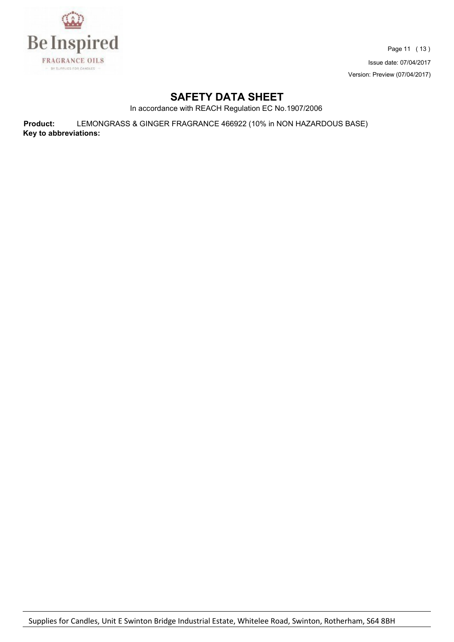

Page 11 ( 13 ) Issue date: 07/04/2017 Version: Preview (07/04/2017)

## **SAFETY DATA SHEET**

In accordance with REACH Regulation EC No.1907/2006

**Product:** LEMONGRASS & GINGER FRAGRANCE 466922 (10% in NON HAZARDOUS BASE) **Key to abbreviations:**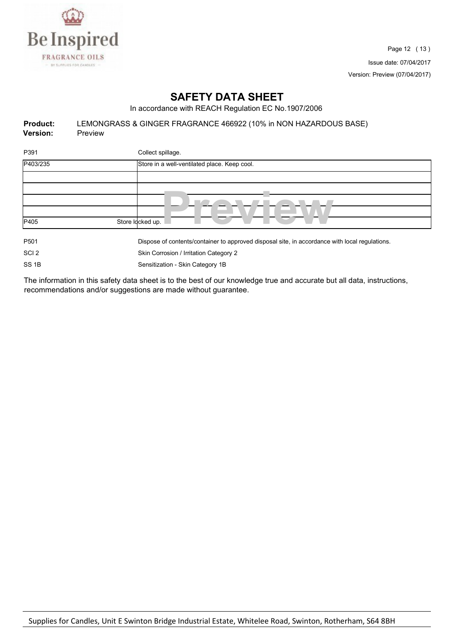

## **SAFETY DATA SHEET**

In accordance with REACH Regulation EC No.1907/2006

| <b>Product:</b> | LEMONGRASS & GINGER FRAGRANCE 466922 (10% in NON HAZARDOUS BASE) |
|-----------------|------------------------------------------------------------------|
| <b>Version:</b> | Preview                                                          |

| P391             | Collect spillage.                                                                              |
|------------------|------------------------------------------------------------------------------------------------|
| P403/235         | Store in a well-ventilated place. Keep cool.                                                   |
|                  |                                                                                                |
|                  |                                                                                                |
|                  |                                                                                                |
|                  |                                                                                                |
| P405             | Store Idcked up.                                                                               |
| P <sub>501</sub> | Dispose of contents/container to approved disposal site, in accordance with local regulations. |
| SCI <sub>2</sub> | Skin Corrosion / Irritation Category 2                                                         |

SS 1B Sensitization - Skin Category 1B

The information in this safety data sheet is to the best of our knowledge true and accurate but all data, instructions, recommendations and/or suggestions are made without guarantee.